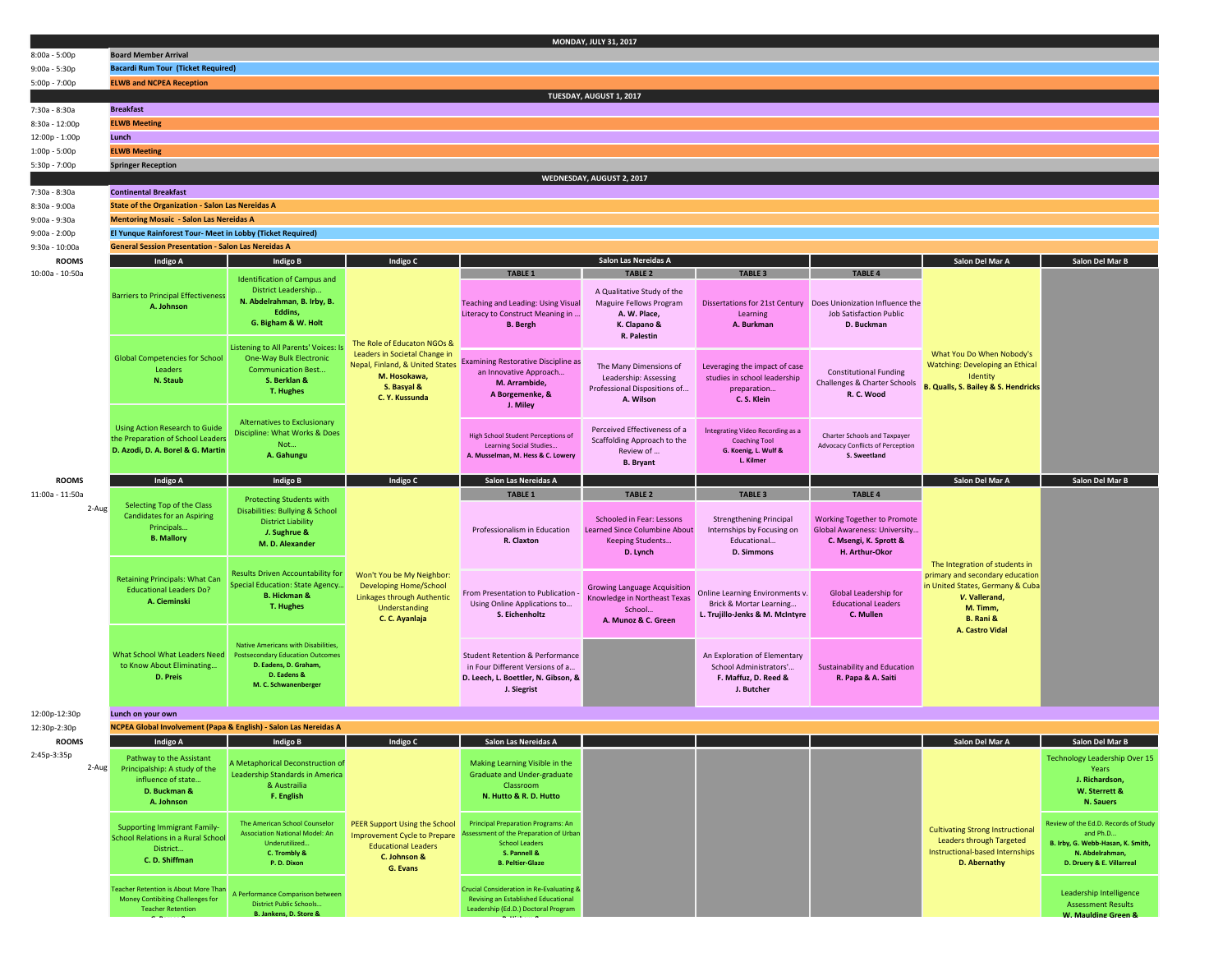|                                | MONDAY, JULY 31, 2017                                                                                          |                                                                      |                                                                                                 |                                                                                                           |                                                                          |                                                              |                                                                          |                                                                     |                                                  |
|--------------------------------|----------------------------------------------------------------------------------------------------------------|----------------------------------------------------------------------|-------------------------------------------------------------------------------------------------|-----------------------------------------------------------------------------------------------------------|--------------------------------------------------------------------------|--------------------------------------------------------------|--------------------------------------------------------------------------|---------------------------------------------------------------------|--------------------------------------------------|
| $8:00a - 5:00p$                | <b>Board Member Arrival</b>                                                                                    |                                                                      |                                                                                                 |                                                                                                           |                                                                          |                                                              |                                                                          |                                                                     |                                                  |
| $9:00a - 5:30p$                | <b>Bacardi Rum Tour (Ticket Required)</b>                                                                      |                                                                      |                                                                                                 |                                                                                                           |                                                                          |                                                              |                                                                          |                                                                     |                                                  |
| 5:00p - 7:00p                  | <b>ELWB and NCPEA Reception</b>                                                                                |                                                                      |                                                                                                 |                                                                                                           |                                                                          |                                                              |                                                                          |                                                                     |                                                  |
|                                | TUESDAY, AUGUST 1, 2017                                                                                        |                                                                      |                                                                                                 |                                                                                                           |                                                                          |                                                              |                                                                          |                                                                     |                                                  |
| 7:30a - 8:30a                  | <b>Breakfast</b>                                                                                               |                                                                      |                                                                                                 |                                                                                                           |                                                                          |                                                              |                                                                          |                                                                     |                                                  |
| 8:30a - 12:00p                 |                                                                                                                | <b>ELWB Meeting</b>                                                  |                                                                                                 |                                                                                                           |                                                                          |                                                              |                                                                          |                                                                     |                                                  |
| 12:00p - 1:00p                 | Lunch<br><b>ELWB Meeting</b>                                                                                   |                                                                      |                                                                                                 |                                                                                                           |                                                                          |                                                              |                                                                          |                                                                     |                                                  |
| 1:00p - 5:00p<br>5:30p - 7:00p | <b>Springer Reception</b>                                                                                      |                                                                      |                                                                                                 |                                                                                                           |                                                                          |                                                              |                                                                          |                                                                     |                                                  |
|                                |                                                                                                                |                                                                      |                                                                                                 |                                                                                                           | WEDNESDAY, AUGUST 2, 2017                                                |                                                              |                                                                          |                                                                     |                                                  |
| 7:30a - 8:30a                  | <b>Continental Breakfast</b>                                                                                   |                                                                      |                                                                                                 |                                                                                                           |                                                                          |                                                              |                                                                          |                                                                     |                                                  |
| 8:30a - 9:00a                  | <b>State of the Organization - Salon Las Nereidas A</b>                                                        |                                                                      |                                                                                                 |                                                                                                           |                                                                          |                                                              |                                                                          |                                                                     |                                                  |
| $9:00a - 9:30a$                | <b>Mentoring Mosaic - Salon Las Nereidas A</b>                                                                 |                                                                      |                                                                                                 |                                                                                                           |                                                                          |                                                              |                                                                          |                                                                     |                                                  |
| $9:00a - 2:00p$                | El Yunque Rainforest Tour- Meet in Lobby (Ticket Required)                                                     |                                                                      |                                                                                                 |                                                                                                           |                                                                          |                                                              |                                                                          |                                                                     |                                                  |
| $9:30a - 10:00a$               | <b>General Session Presentation - Salon Las Nereidas A</b>                                                     |                                                                      |                                                                                                 |                                                                                                           |                                                                          |                                                              |                                                                          |                                                                     |                                                  |
| <b>ROOMS</b>                   | Indigo A                                                                                                       | Indigo B                                                             | Indigo C                                                                                        |                                                                                                           | Salon Las Nereidas A                                                     |                                                              |                                                                          | Salon Del Mar A                                                     | Salon Del Mar B                                  |
| 10:00a - 10:50a                |                                                                                                                | <b>Identification of Campus and</b>                                  |                                                                                                 | <b>TABLE 1</b>                                                                                            | <b>TABLE 2</b>                                                           | <b>TABLE 3</b>                                               | <b>TABLE 4</b>                                                           |                                                                     |                                                  |
|                                | <b>Barriers to Principal Effectiveness</b>                                                                     | District Leadership                                                  |                                                                                                 |                                                                                                           | A Qualitative Study of the                                               |                                                              |                                                                          |                                                                     |                                                  |
|                                | A. Johnson                                                                                                     | N. Abdelrahman, B. Irby, B.<br>Eddins,                               |                                                                                                 | <b>Teaching and Leading: Using Visual</b>                                                                 | Maguire Fellows Program                                                  |                                                              | Dissertations for 21st Century Does Unionization Influence the           |                                                                     |                                                  |
|                                |                                                                                                                | G. Bigham & W. Holt                                                  |                                                                                                 | Literacy to Construct Meaning in<br><b>B.</b> Bergh                                                       | A. W. Place,<br>K. Clapano &                                             | Learning<br>A. Burkman                                       | <b>Job Satisfaction Public</b><br>D. Buckman                             |                                                                     |                                                  |
|                                |                                                                                                                |                                                                      |                                                                                                 |                                                                                                           | R. Palestin                                                              |                                                              |                                                                          |                                                                     |                                                  |
|                                |                                                                                                                | Listening to All Parents' Voices: Is                                 | The Role of Educaton NGOs &<br>Leaders in Societal Change in<br>Nepal, Finland, & United States |                                                                                                           |                                                                          |                                                              |                                                                          | What You Do When Nobody's                                           |                                                  |
|                                | <b>Global Competencies for School</b><br>Leaders                                                               | One-Way Bulk Electronic<br><b>Communication Best</b>                 |                                                                                                 | <b>Examining Restorative Discipline as</b>                                                                | The Many Dimensions of                                                   | Leveraging the impact of case                                |                                                                          | <b>Watching: Developing an Ethical</b>                              |                                                  |
|                                | N. Staub                                                                                                       | S. Berklan &                                                         | M. Hosokawa,                                                                                    | an Innovative Approach<br>M. Arrambide,                                                                   | Leadership: Assessing                                                    | studies in school leadership                                 | <b>Constitutional Funding</b><br><b>Challenges &amp; Charter Schools</b> | Identity                                                            |                                                  |
|                                |                                                                                                                | T. Hughes                                                            | S. Basyal &<br>C. Y. Kussunda                                                                   | A Borgemenke, &                                                                                           | Professional Dispositions of<br>A. Wilson                                | preparation<br>C.S. Klein                                    | R. C. Wood                                                               | <b>B. Qualls, S. Bailey &amp; S. Hendricks</b>                      |                                                  |
|                                |                                                                                                                |                                                                      |                                                                                                 | J. Miley                                                                                                  |                                                                          |                                                              |                                                                          |                                                                     |                                                  |
|                                |                                                                                                                | Alternatives to Exclusionary                                         |                                                                                                 |                                                                                                           |                                                                          |                                                              |                                                                          |                                                                     |                                                  |
|                                | <b>Using Action Research to Guide</b><br>the Preparation of School Leader<br>D. Azodi, D. A. Borel & G. Martin | Discipline: What Works & Does<br>Not<br>A. Gahungu                   |                                                                                                 | <b>High School Student Perceptions of</b><br>Learning Social Studies<br>A. Musselman, M. Hess & C. Lowery | Perceived Effectiveness of a<br>Scaffolding Approach to the<br>Review of | Integrating Video Recording as a<br><b>Coaching Tool</b>     | <b>Charter Schools and Taxpayer</b>                                      |                                                                     |                                                  |
|                                |                                                                                                                |                                                                      |                                                                                                 |                                                                                                           |                                                                          | G. Koenig, L. Wulf &                                         | <b>Advocacy Conflicts of Perception</b><br>S. Sweetland                  |                                                                     |                                                  |
|                                |                                                                                                                |                                                                      |                                                                                                 |                                                                                                           | <b>B.</b> Bryant                                                         | L. Kilmer                                                    |                                                                          |                                                                     |                                                  |
| <b>ROOMS</b>                   | Indigo A                                                                                                       | Indigo B                                                             | Indigo C                                                                                        | Salon Las Nereidas A                                                                                      |                                                                          |                                                              |                                                                          | Salon Del Mar A                                                     | Salon Del Mar B                                  |
| 11:00a - 11:50a                |                                                                                                                |                                                                      |                                                                                                 |                                                                                                           |                                                                          |                                                              |                                                                          |                                                                     |                                                  |
|                                |                                                                                                                | <b>Protecting Students with</b>                                      |                                                                                                 | <b>TABLE 1</b>                                                                                            | <b>TABLE 2</b>                                                           | <b>TABLE 3</b>                                               | <b>TABLE 4</b>                                                           |                                                                     |                                                  |
| 2-Aug                          | Selecting Top of the Class                                                                                     | Disabilities: Bullying & School                                      |                                                                                                 |                                                                                                           |                                                                          |                                                              |                                                                          |                                                                     |                                                  |
|                                | <b>Candidates for an Aspiring</b><br>Principals                                                                | <b>District Liability</b>                                            |                                                                                                 | Professionalism in Education                                                                              | Schooled in Fear: Lessons<br><b>Learned Since Columbine About</b>        | <b>Strengthening Principal</b><br>Internships by Focusing on | Working Together to Promote<br>Global Awareness: University              |                                                                     |                                                  |
|                                | <b>B. Mallory</b>                                                                                              | J. Sughrue &<br>M. D. Alexander                                      |                                                                                                 | R. Claxton                                                                                                | Keeping Students                                                         | Educational                                                  | C. Msengi, K. Sprott &                                                   |                                                                     |                                                  |
|                                |                                                                                                                |                                                                      |                                                                                                 |                                                                                                           | D. Lynch                                                                 | <b>D. Simmons</b>                                            | H. Arthur-Okor                                                           |                                                                     |                                                  |
|                                |                                                                                                                |                                                                      |                                                                                                 |                                                                                                           |                                                                          |                                                              |                                                                          | The Integration of students in                                      |                                                  |
|                                | <b>Retaining Principals: What Can</b>                                                                          | Results Driven Accountability for<br>Special Education: State Agency | Won't You be My Neighbor:<br><b>Developing Home/School</b>                                      |                                                                                                           |                                                                          |                                                              |                                                                          | primary and secondary education<br>in United States, Germany & Cuba |                                                  |
|                                | <b>Educational Leaders Do?</b><br>A. Cieminski                                                                 | <b>B. Hickman &amp;</b>                                              | <b>Linkages through Authentic</b>                                                               | From Presentation to Publication                                                                          | Growing Language Acquisition<br>Knowledge in Northeast Texas             | Online Learning Environments v.                              | Global Leadership for                                                    | V. Vallerand,                                                       |                                                  |
|                                |                                                                                                                | <b>T. Hughes</b>                                                     | Understanding                                                                                   | Using Online Applications to<br>S. Eichenholtz                                                            | School                                                                   | Brick & Mortar Learning<br>L. Trujillo-Jenks & M. McIntyre   | <b>Educational Leaders</b><br>C. Mullen                                  | M. Timm,                                                            |                                                  |
|                                |                                                                                                                |                                                                      | C. C. Ayanlaja                                                                                  |                                                                                                           | A. Munoz & C. Green                                                      |                                                              |                                                                          | B. Rani &<br>A. Castro Vidal                                        |                                                  |
|                                |                                                                                                                | Native Americans with Disabilities.                                  |                                                                                                 |                                                                                                           |                                                                          |                                                              |                                                                          |                                                                     |                                                  |
|                                | What School What Leaders Need                                                                                  | <b>Postsecondary Education Outcomes</b>                              |                                                                                                 | <b>Student Retention &amp; Performance</b>                                                                |                                                                          | An Exploration of Elementary                                 |                                                                          |                                                                     |                                                  |
|                                | to Know About Eliminating                                                                                      | D. Eadens, D. Graham,<br>D. Eadens &                                 |                                                                                                 | in Four Different Versions of a                                                                           |                                                                          | School Administrators'                                       | Sustainability and Education                                             |                                                                     |                                                  |
|                                | D. Preis                                                                                                       | M. C. Schwanenberger                                                 |                                                                                                 | D. Leech, L. Boettler, N. Gibson, &                                                                       |                                                                          | F. Maffuz, D. Reed &<br>J. Butcher                           | R. Papa & A. Saiti                                                       |                                                                     |                                                  |
|                                |                                                                                                                |                                                                      |                                                                                                 | J. Siegrist                                                                                               |                                                                          |                                                              |                                                                          |                                                                     |                                                  |
| 12:00p-12:30p                  | Lunch on your own                                                                                              |                                                                      |                                                                                                 |                                                                                                           |                                                                          |                                                              |                                                                          |                                                                     |                                                  |
| 12:30p-2:30p                   | NCPEA Global Involvement (Papa & English) - Salon Las Nereidas A                                               |                                                                      |                                                                                                 |                                                                                                           |                                                                          |                                                              |                                                                          |                                                                     |                                                  |
| <b>ROOMS</b>                   | Indigo A                                                                                                       | Indigo B                                                             | Indigo C                                                                                        | Salon Las Nereidas A                                                                                      |                                                                          |                                                              |                                                                          | Salon Del Mar A                                                     | Salon Del Mar B                                  |
| 2:45p-3:35p                    | Pathway to the Assistant                                                                                       | A Metaphorical Deconstruction of                                     |                                                                                                 | Making Learning Visible in the                                                                            |                                                                          |                                                              |                                                                          |                                                                     | Technology Leadership Over 15                    |
| 2-Aug                          | Principalship: A study of the<br>influence of state                                                            | Leadership Standards in America                                      |                                                                                                 | <b>Graduate and Under-graduate</b>                                                                        |                                                                          |                                                              |                                                                          |                                                                     | Years<br>J. Richardson,                          |
|                                | D. Buckman &                                                                                                   | & Austrailia                                                         |                                                                                                 | Classroom                                                                                                 |                                                                          |                                                              |                                                                          |                                                                     | W. Sterrett &                                    |
|                                | A. Johnson                                                                                                     | F. English                                                           |                                                                                                 | N. Hutto & R. D. Hutto                                                                                    |                                                                          |                                                              |                                                                          |                                                                     | N. Sauers                                        |
|                                |                                                                                                                | The American School Counselor                                        |                                                                                                 | <b>Principal Preparation Programs: An</b>                                                                 |                                                                          |                                                              |                                                                          |                                                                     | Review of the Ed.D. Records of Study             |
|                                | <b>Supporting Immigrant Family-</b><br><b>School Relations in a Rural School</b>                               | <b>Association National Model: An</b>                                | PEER Support Using the School<br><b>Improvement Cycle to Prepare</b>                            | Assessment of the Preparation of Urban                                                                    |                                                                          |                                                              |                                                                          | <b>Cultivating Strong Instructional</b>                             | and Ph.D                                         |
|                                | District                                                                                                       | Underutilized                                                        | <b>Educational Leaders</b>                                                                      | <b>School Leaders</b>                                                                                     |                                                                          |                                                              |                                                                          | Leaders through Targeted<br>Instructional-based Internships         | B. Irby, G. Webb-Hasan, K. Smith,                |
|                                | C.D. Shiffman                                                                                                  | C. Trombly &<br>P.D.Dixon                                            | C. Johnson &                                                                                    | S. Pannell &<br><b>B. Peltier-Glaze</b>                                                                   |                                                                          |                                                              |                                                                          | D. Abernathy                                                        | N. Abdelrahman,<br>D. Druery & E. Villarreal     |
|                                |                                                                                                                |                                                                      | G. Evans                                                                                        |                                                                                                           |                                                                          |                                                              |                                                                          |                                                                     |                                                  |
|                                | <b>Teacher Retention is About More Than</b>                                                                    | A Performance Comparison between                                     |                                                                                                 | <b>Crucial Consideration in Re-Evaluating &amp;</b>                                                       |                                                                          |                                                              |                                                                          |                                                                     | Leadership Intelligence                          |
|                                | Money Contibiting Challenges for<br><b>Teacher Retention</b>                                                   | <b>District Public Schools</b><br><b>B. Jankens, D. Store &amp;</b>  |                                                                                                 | Revising an Established Educational<br>Leadership (Ed.D.) Doctoral Program                                |                                                                          |                                                              |                                                                          |                                                                     | <b>Assessment Results</b><br>W. Maulding Green & |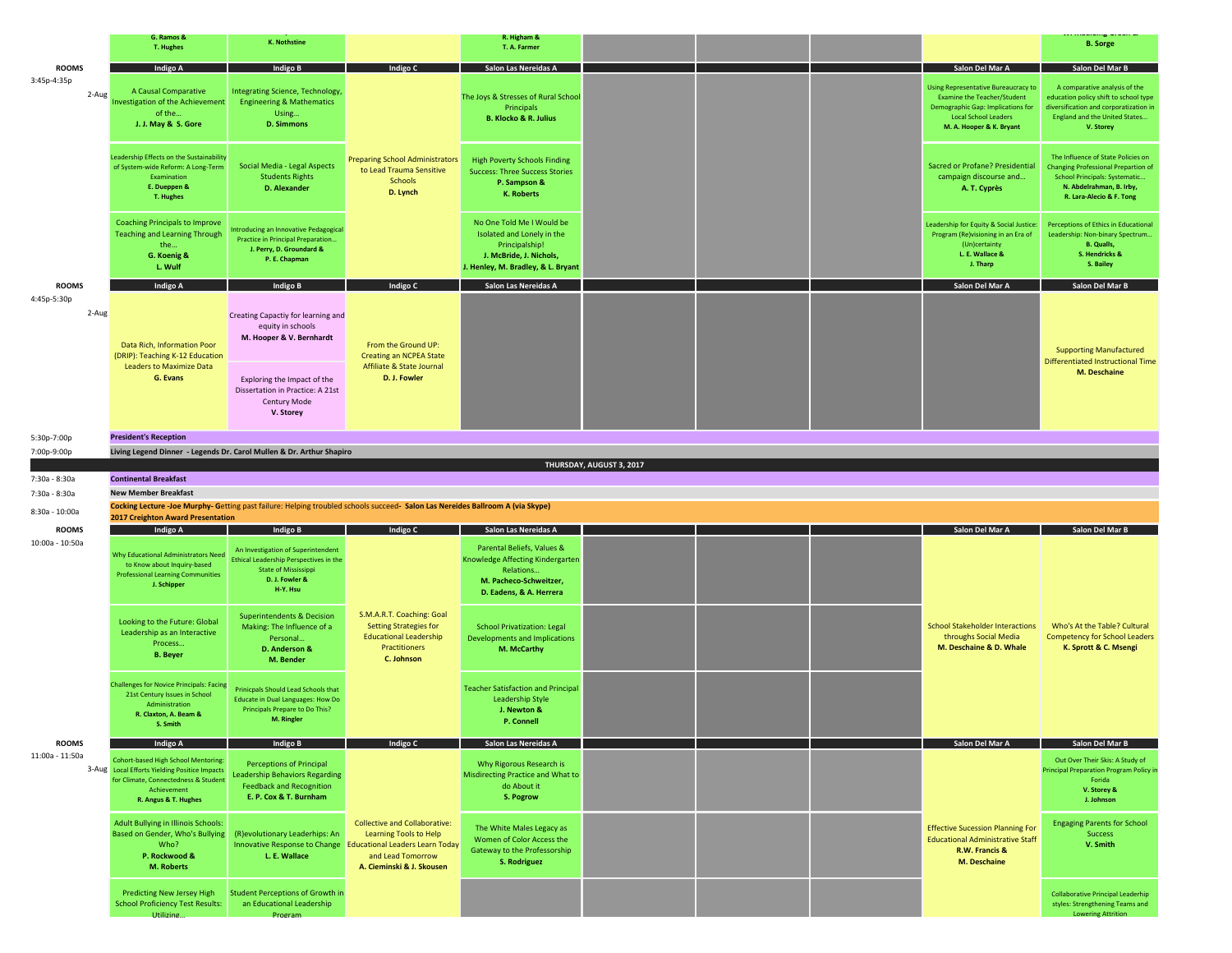|                                 | G. Ramos &<br><b>T. Hughes</b>                                                                                                                                             | <b>K. Nothstine</b>                                                                                                                                                                 |                                                                                                                                                            | R. Higham &<br>T. A. Farmer                                                                                                                |                          |  |                                                                                            |                                                                                                                                                                                  | <b>B.</b> Sorge                                                                                                                                                           |
|---------------------------------|----------------------------------------------------------------------------------------------------------------------------------------------------------------------------|-------------------------------------------------------------------------------------------------------------------------------------------------------------------------------------|------------------------------------------------------------------------------------------------------------------------------------------------------------|--------------------------------------------------------------------------------------------------------------------------------------------|--------------------------|--|--------------------------------------------------------------------------------------------|----------------------------------------------------------------------------------------------------------------------------------------------------------------------------------|---------------------------------------------------------------------------------------------------------------------------------------------------------------------------|
| <b>ROOMS</b>                    | Indigo A                                                                                                                                                                   | Indigo B                                                                                                                                                                            |                                                                                                                                                            | Salon Las Nereidas A                                                                                                                       |                          |  |                                                                                            | Salon Del Mar A                                                                                                                                                                  | Salon Del Mar B                                                                                                                                                           |
| 3:45p-4:35p<br>2-Aug            | A Causal Comparative<br>nvestigation of the Achievement<br>of the<br>J. J. May & S. Gore                                                                                   | Integrating Science, Technology,<br><b>Engineering &amp; Mathematics</b><br>Using<br><b>D. Simmons</b>                                                                              | <b>Preparing School Administrators</b><br>to Lead Trauma Sensitive<br><b>Schools</b><br>D. Lynch                                                           | The Joys & Stresses of Rural School<br>Principals<br><b>B. Klocko &amp; R. Julius</b>                                                      |                          |  |                                                                                            | <b>Using Representative Bureaucracy to</b><br><b>Examine the Teacher/Student</b><br>Demographic Gap: Implications for<br><b>Local School Leaders</b><br>M. A. Hooper & K. Bryant | A comparative analysis of the<br>education policy shift to school type<br>diversification and corporatization in<br>England and the United States<br>V. Storey            |
|                                 | eadership Effects on the Sustainability<br>of System-wide Reform: A Long-Term<br>Examination<br>E. Dueppen &<br>T. Hughes                                                  | Social Media - Legal Aspects<br><b>Students Rights</b><br><b>D.</b> Alexander                                                                                                       |                                                                                                                                                            | <b>High Poverty Schools Finding</b><br><b>Success: Three Success Stories</b><br>P. Sampson &<br>K. Roberts                                 |                          |  |                                                                                            | Sacred or Profane? Presidential<br>campaign discourse and<br>A. T. Cyprès                                                                                                        | The Influence of State Policies on<br><b>Changing Professional Prepartion of</b><br>School Principals: Systematic<br>N. Abdelrahman, B. Irby,<br>R. Lara-Alecio & F. Tong |
|                                 | Coaching Principals to Improve<br><b>Teaching and Learning Through</b><br>the<br>G. Koenig &<br>L. Wulf                                                                    | Introducing an Innovative Pedagogical<br>Practice in Principal Preparation<br>J. Perry, D. Groundard &<br>P. E. Chapman                                                             |                                                                                                                                                            | No One Told Me I Would be<br>Isolated and Lonely in the<br>Principalship!<br>J. McBride, J. Nichols,<br>J. Henley, M. Bradley, & L. Bryant |                          |  |                                                                                            | Leadership for Equity & Social Justice:<br>Program (Re)visioning in an Era of<br>(Un)certainty<br>L. E. Wallace &<br>J. Tharp                                                    | Perceptions of Ethics in Educational<br>Leadership: Non-binary Spectrum<br><b>B.</b> Qualls,<br>S. Hendricks &<br>S. Bailey                                               |
| <b>ROOMS</b>                    | Indigo A                                                                                                                                                                   | Indigo B                                                                                                                                                                            | Indigo C                                                                                                                                                   | Salon Las Nereidas A                                                                                                                       |                          |  |                                                                                            | Salon Del Mar A                                                                                                                                                                  | Salon Del Mar B                                                                                                                                                           |
| 4:45p-5:30p<br>2-Aug            | Data Rich, Information Poor<br>(DRIP): Teaching K-12 Education<br><b>Leaders to Maximize Data</b><br>G. Evans                                                              | Creating Capactiy for learning and<br>equity in schools<br>M. Hooper & V. Bernhardt<br>Exploring the Impact of the<br>Dissertation in Practice: A 21st<br>Century Mode<br>V. Storey | From the Ground UP:<br><b>Creating an NCPEA State</b><br>Affiliate & State Journal<br>D. J. Fowler                                                         |                                                                                                                                            |                          |  |                                                                                            |                                                                                                                                                                                  | <b>Supporting Manufactured</b><br><b>Differentiated Instructional Time</b><br>M. Deschaine                                                                                |
|                                 |                                                                                                                                                                            |                                                                                                                                                                                     |                                                                                                                                                            |                                                                                                                                            |                          |  |                                                                                            |                                                                                                                                                                                  |                                                                                                                                                                           |
| 5:30p-7:00p                     | <b>President's Reception</b>                                                                                                                                               |                                                                                                                                                                                     |                                                                                                                                                            |                                                                                                                                            |                          |  |                                                                                            |                                                                                                                                                                                  |                                                                                                                                                                           |
| 7:00p-9:00p                     |                                                                                                                                                                            | Living Legend Dinner - Legends Dr. Carol Mullen & Dr. Arthur Shapiro                                                                                                                |                                                                                                                                                            |                                                                                                                                            |                          |  |                                                                                            |                                                                                                                                                                                  |                                                                                                                                                                           |
| 7:30a - 8:30a                   | <b>Continental Breakfast</b>                                                                                                                                               |                                                                                                                                                                                     |                                                                                                                                                            |                                                                                                                                            | THURSDAY, AUGUST 3, 2017 |  |                                                                                            |                                                                                                                                                                                  |                                                                                                                                                                           |
| 7:30a - 8:30a                   | <b>New Member Breakfast</b>                                                                                                                                                |                                                                                                                                                                                     |                                                                                                                                                            |                                                                                                                                            |                          |  |                                                                                            |                                                                                                                                                                                  |                                                                                                                                                                           |
| 8:30a - 10:00a                  |                                                                                                                                                                            | Cocking Lecture -Joe Murphy- Getting past failure: Helping troubled schools succeed- Salon Las Nereides Ballroom A (via Skype)                                                      |                                                                                                                                                            |                                                                                                                                            |                          |  |                                                                                            |                                                                                                                                                                                  |                                                                                                                                                                           |
|                                 | <b>2017 Creighton Award Presentation</b>                                                                                                                                   |                                                                                                                                                                                     |                                                                                                                                                            |                                                                                                                                            |                          |  |                                                                                            |                                                                                                                                                                                  |                                                                                                                                                                           |
| <b>ROOMS</b><br>10:00a - 10:50a | Indigo A                                                                                                                                                                   | Indigo B                                                                                                                                                                            | Indigo C                                                                                                                                                   | Salon Las Nereidas A                                                                                                                       |                          |  |                                                                                            | Salon Del Mar A                                                                                                                                                                  | Salon Del Mar B                                                                                                                                                           |
| <b>ROOMS</b><br>11:00a - 11:50a | Why Educational Administrators Need<br>to Know about Inquiry-based<br><b>Professional Learning Communities</b><br>J. Schipper                                              | An Investigation of Superintendent<br>Ethical Leadership Perspectives in the<br><b>State of Mississippi</b><br>D. J. Fowler &<br>H-Y. Hsu                                           | S.M.A.R.T. Coaching: Goal<br><b>Setting Strategies for</b><br><b>Educational Leadership</b><br>Practitioners<br>C. Johnson                                 | Parental Beliefs, Values &<br>Knowledge Affecting Kindergarten<br>Relations<br>M. Pacheco-Schweitzer,<br>D. Eadens, & A. Herrera           |                          |  |                                                                                            |                                                                                                                                                                                  |                                                                                                                                                                           |
|                                 | Looking to the Future: Global<br>Leadership as an Interactive<br>Process<br><b>B.</b> Beyer                                                                                | <b>Superintendents &amp; Decision</b><br>Making: The Influence of a<br>Personal<br>D. Anderson &<br>M. Bender                                                                       |                                                                                                                                                            | <b>School Privatization: Legal</b><br>Developments and Implications<br>M. McCarthy                                                         |                          |  | <b>School Stakeholder Interactions</b><br>throughs Social Media<br>M. Deschaine & D. Whale | Who's At the Table? Cultural<br><b>Competency for School Leaders</b><br>K. Sprott & C. Msengi                                                                                    |                                                                                                                                                                           |
|                                 | <b>Challenges for Novice Principals: Facing</b><br>21st Century Issues in School<br>Administration<br>R. Claxton, A. Beam &<br>S. Smith                                    | <b>Prinicoals Should Lead Schools that</b><br><b>Educate in Dual Languages: How Do</b><br>Principals Prepare to Do This?<br>M. Ringler                                              |                                                                                                                                                            | <b>Teacher Satisfaction and Principal</b><br>Leadership Style<br>J. Newton &<br>P. Connell                                                 |                          |  |                                                                                            |                                                                                                                                                                                  |                                                                                                                                                                           |
|                                 | Indigo A                                                                                                                                                                   | Indigo B                                                                                                                                                                            | Indigo C                                                                                                                                                   | Salon Las Nereidas A                                                                                                                       |                          |  |                                                                                            | Salon Del Mar A                                                                                                                                                                  | Salon Del Mar B                                                                                                                                                           |
|                                 | <b>Cohort-based High School Mentoring:</b><br>3-Aug Local Efforts Yielding Positice Impacts<br>for Climate, Connectedness & Student<br>Achievement<br>R. Angus & T. Hughes | <b>Perceptions of Principal</b><br><b>Leadership Behaviors Regarding</b><br><b>Feedback and Recognition</b><br>E. P. Cox & T. Burnham                                               | <b>Collective and Collaborative:</b><br>Learning Tools to Help<br><b>Educational Leaders Learn Today</b><br>and Lead Tomorrow<br>A. Cieminski & J. Skousen | Why Rigorous Research is<br>Misdirecting Practice and What to<br>do About it<br>S. Pogrow                                                  |                          |  |                                                                                            |                                                                                                                                                                                  | Out Over Their Skis: A Study of<br><b>Principal Preparation Program Policy in</b><br>Forida<br>V. Storey &<br>J. Johnson                                                  |
|                                 | Adult Bullying in Illinois Schools:<br>Based on Gender, Who's Bullying<br>Who?<br>P. Rockwood &<br><b>M. Roberts</b>                                                       | (R) evolutionary Leaderhips: An<br>Innovative Response to Change<br>L. E. Wallace                                                                                                   |                                                                                                                                                            | The White Males Legacy as<br>Women of Color Access the<br>Gateway to the Professorship<br>S. Rodriguez                                     |                          |  |                                                                                            | <b>Effective Sucession Planning For</b><br><b>Educational Administrative Staff</b><br>R.W. Francis &<br>M. Deschaine                                                             | <b>Engaging Parents for School</b><br><b>Success</b><br>V. Smith                                                                                                          |
|                                 | <b>Predicting New Jersey High</b><br><b>School Proficiency Test Results:</b><br>Utilizing                                                                                  | <b>Student Perceptions of Growth in</b><br>an Educational Leadership<br>Program                                                                                                     |                                                                                                                                                            |                                                                                                                                            |                          |  |                                                                                            |                                                                                                                                                                                  | <b>Collaborative Principal Leaderhip</b><br>styles: Strengthening Teams and<br><b>Lowering Attrition</b>                                                                  |